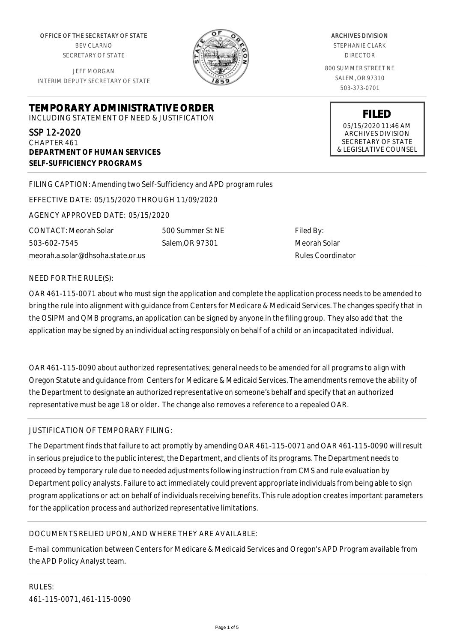OFFICE OF THE SECRETARY OF STATE BEV CLARNO SECRETARY OF STATE

JEFF MORGAN INTERIM DEPUTY SECRETARY OF STATE

**DEPARTMENT OF HUMAN SERVICES**

**SELF-SUFFICIENCY PROGRAMS**



ARCHIVES DIVISION

STEPHANIE CLARK DIRECTOR

800 SUMMER STREET NE SALEM, OR 97310 503-373-0701

> **FILED** 05/15/2020 11:46 AM ARCHIVES DIVISION SECRETARY OF STATE & LEGISLATIVE COUNSEL

FILING CAPTION: Amending two Self-Sufficiency and APD program rules

EFFECTIVE DATE: 05/15/2020 THROUGH 11/09/2020

**TEMPORARY ADMINISTRATIVE ORDER** INCLUDING STATEMENT OF NEED & JUSTIFICATION

AGENCY APPROVED DATE: 05/15/2020

meorah.a.solar@dhsoha.state.or.us

500 Summer St NE Salem,OR 97301

Filed By: Meorah Solar Rules Coordinator

#### NEED FOR THE RULE(S):

CONTACT: Meorah Solar

503-602-7545

SSP 12-2020 CHAPTER 461

OAR 461-115-0071 about who must sign the application and complete the application process needs to be amended to bring the rule into alignment with guidance from Centers for Medicare & Medicaid Services. The changes specify that in the OSIPM and QMB programs, an application can be signed by anyone in the filing group. They also add that the application may be signed by an individual acting responsibly on behalf of a child or an incapacitated individual.

OAR 461-115-0090 about authorized representatives; general needs to be amended for all programs to align with Oregon Statute and guidance from Centers for Medicare & Medicaid Services. The amendments remove the ability of the Department to designate an authorized representative on someone's behalf and specify that an authorized representative must be age 18 or older. The change also removes a reference to a repealed OAR.

# JUSTIFICATION OF TEMPORARY FILING:

The Department finds that failure to act promptly by amending OAR 461-115-0071 and OAR 461-115-0090 will result in serious prejudice to the public interest, the Department, and clients of its programs. The Department needs to proceed by temporary rule due to needed adjustments following instruction from CMS and rule evaluation by Department policy analysts. Failure to act immediately could prevent appropriate individuals from being able to sign program applications or act on behalf of individuals receiving benefits. This rule adoption creates important parameters for the application process and authorized representative limitations.

# DOCUMENTS RELIED UPON, AND WHERE THEY ARE AVAILABLE:

E-mail communication between Centers for Medicare & Medicaid Services and Oregon's APD Program available from the APD Policy Analyst team.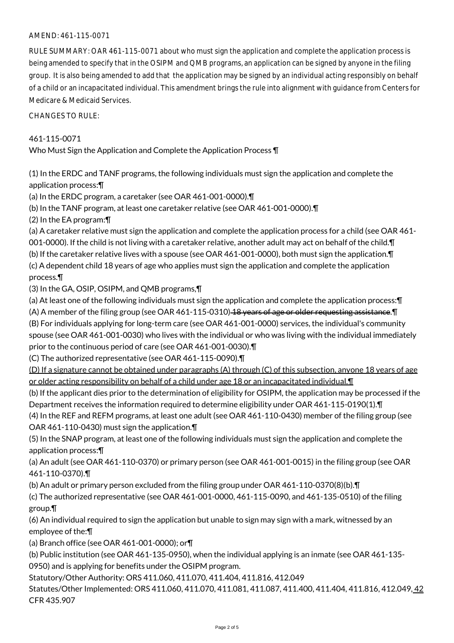# AMEND: 461-115-0071

RULE SUMMARY: OAR 461-115-0071 about who must sign the application and complete the application process is being amended to specify that in the OSIPM and QMB programs, an application can be signed by anyone in the filing group. It is also being amended to add that the application may be signed by an individual acting responsibly on behalf of a child or an incapacitated individual. This amendment brings the rule into alignment with guidance from Centers for Medicare & Medicaid Services.

CHANGES TO RULE:

# 461-115-0071

Who Must Sign the Application and Complete the Application Process ¶

(1) In the ERDC and TANF programs, the following individuals must sign the application and complete the application process:¶

(a) In the ERDC program, a caretaker (see OAR 461-001-0000).¶

(b) In the TANF program, at least one caretaker relative (see OAR 461-001-0000).¶

(2) In the EA program:¶

(a) A caretaker relative must sign the application and complete the application process for a child (see OAR 461-

001-0000). If the child is not living with a caretaker relative, another adult may act on behalf of the child.¶

(b) If the caretaker relative lives with a spouse (see OAR 461-001-0000), both must sign the application.¶ (c) A dependent child 18 years of age who applies must sign the application and complete the application

process.¶

(3) In the GA, OSIP, OSIPM, and QMB programs,¶

(a) At least one of the following individuals must sign the application and complete the application process:¶ (A) A member of the filing group (see OAR 461-115-0310) 18 years of age or older requesting assistance. I (B) For individuals applying for long-term care (see OAR 461-001-0000) services, the individual's community spouse (see OAR 461-001-0030) who lives with the individual or who was living with the individual immediately prior to the continuous period of care (see OAR 461-001-0030).¶

(C) The authorized representative (see OAR 461-115-0090).¶

(D) If a signature cannot be obtained under paragraphs (A) through (C) of this subsection, anyone 18 years of age or older acting responsibility on behalf of a child under age 18 or an incapacitated individual.¶

(b) If the applicant dies prior to the determination of eligibility for OSIPM, the application may be processed if the Department receives the information required to determine eligibility under OAR 461-115-0190(1).¶

(4) In the REF and REFM programs, at least one adult (see OAR 461-110-0430) member of the filing group (see OAR 461-110-0430) must sign the application.¶

(5) In the SNAP program, at least one of the following individuals must sign the application and complete the application process:¶

(a) An adult (see OAR 461-110-0370) or primary person (see OAR 461-001-0015) in the filing group (see OAR 461-110-0370).¶

(b) An adult or primary person excluded from the filing group under OAR 461-110-0370(8)(b).¶

(c) The authorized representative (see OAR 461-001-0000, 461-115-0090, and 461-135-0510) of the filing group.¶

(6) An individual required to sign the application but unable to sign may sign with a mark, witnessed by an employee of the:¶

(a) Branch office (see OAR 461-001-0000); or¶

(b) Public institution (see OAR 461-135-0950), when the individual applying is an inmate (see OAR 461-135- 0950) and is applying for benefits under the OSIPM program.

Statutory/Other Authority: ORS 411.060, 411.070, 411.404, 411.816, 412.049

Statutes/Other Implemented: ORS 411.060, 411.070, 411.081, 411.087, 411.400, 411.404, 411.816, 412.049, 42 CFR 435.907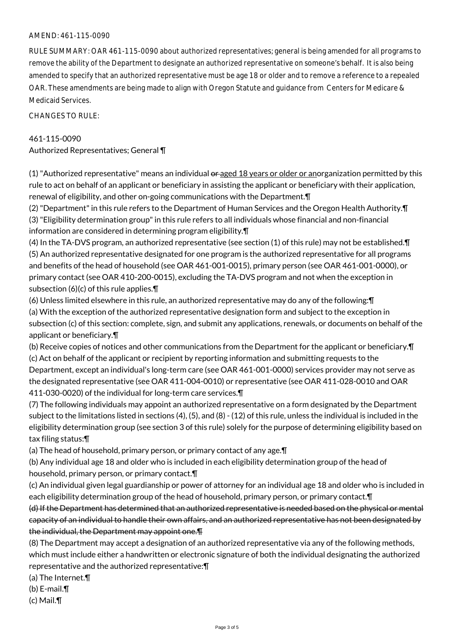## AMEND: 461-115-0090

RULE SUMMARY: OAR 461-115-0090 about authorized representatives; general is being amended for all programs to remove the ability of the Department to designate an authorized representative on someone's behalf. It is also being amended to specify that an authorized representative must be age 18 or older and to remove a reference to a repealed OAR. These amendments are being made to align with Oregon Statute and guidance from Centers for Medicare & Medicaid Services.

CHANGES TO RULE:

## 461-115-0090

Authorized Representatives; General ¶

 $(1)$  "Authorized representative" means an individual  $\theta$  and  $\theta$  years or older or anorganization permitted by this rule to act on behalf of an applicant or beneficiary in assisting the applicant or beneficiary with their application, renewal of eligibility, and other on-going communications with the Department.¶

(2) "Department" in this rule refers to the Department of Human Services and the Oregon Health Authority.¶ (3) "Eligibility determination group" in this rule refers to all individuals whose financial and non-financial information are considered in determining program eligibility.¶

(4) In the TA-DVS program, an authorized representative (see section (1) of this rule) may not be established.¶ (5) An authorized representative designated for one program is the authorized representative for all programs and benefits of the head of household (see OAR 461-001-0015), primary person (see OAR 461-001-0000), or primary contact (see OAR 410-200-0015), excluding the TA-DVS program and not when the exception in subsection (6)(c) of this rule applies.¶

(6) Unless limited elsewhere in this rule, an authorized representative may do any of the following:¶

(a) With the exception of the authorized representative designation form and subject to the exception in subsection (c) of this section: complete, sign, and submit any applications, renewals, or documents on behalf of the applicant or beneficiary.¶

(b) Receive copies of notices and other communications from the Department for the applicant or beneficiary.¶

(c) Act on behalf of the applicant or recipient by reporting information and submitting requests to the Department, except an individual's long-term care (see OAR 461-001-0000) services provider may not serve as the designated representative (see OAR 411-004-0010) or representative (see OAR 411-028-0010 and OAR 411-030-0020) of the individual for long-term care services.¶

(7) The following individuals may appoint an authorized representative on a form designated by the Department subject to the limitations listed in sections (4), (5), and (8) - (12) of this rule, unless the individual is included in the eligibility determination group (see section 3 of this rule) solely for the purpose of determining eligibility based on tax filing status:¶

(a) The head of household, primary person, or primary contact of any age.¶

(b) Any individual age 18 and older who is included in each eligibility determination group of the head of household, primary person, or primary contact.¶

(c) An individual given legal guardianship or power of attorney for an individual age 18 and older who is included in each eligibility determination group of the head of household, primary person, or primary contact.¶

(d) If the Department has determined that an authorized representative is needed based on the physical or mental capacity of an individual to handle their own affairs, and an authorized representative has not been designated by the individual, the Department may appoint one.¶

(8) The Department may accept a designation of an authorized representative via any of the following methods, which must include either a handwritten or electronic signature of both the individual designating the authorized representative and the authorized representative:¶

(a) The Internet.¶

(b) E-mail.¶

(c) Mail.¶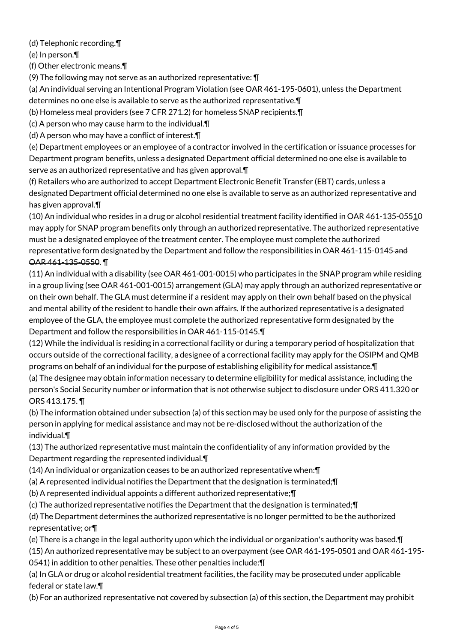(d) Telephonic recording.¶

(e) In person.¶

(f) Other electronic means.¶

(9) The following may not serve as an authorized representative: ¶

(a) An individual serving an Intentional Program Violation (see OAR 461-195-0601), unless the Department determines no one else is available to serve as the authorized representative.¶

- (b) Homeless meal providers (see 7 CFR 271.2) for homeless SNAP recipients.¶
- (c) A person who may cause harm to the individual.¶
- (d) A person who may have a conflict of interest.¶

(e) Department employees or an employee of a contractor involved in the certification or issuance processes for Department program benefits, unless a designated Department official determined no one else is available to serve as an authorized representative and has given approval.¶

(f) Retailers who are authorized to accept Department Electronic Benefit Transfer (EBT) cards, unless a designated Department official determined no one else is available to serve as an authorized representative and has given approval.¶

(10) An individual who resides in a drug or alcohol residential treatment facility identified in OAR 461-135-05510 may apply for SNAP program benefits only through an authorized representative. The authorized representative must be a designated employee of the treatment center. The employee must complete the authorized representative form designated by the Department and follow the responsibilities in OAR 461-115-0145 and OAR 461-135-0550. ¶

(11) An individual with a disability (see OAR 461-001-0015) who participates in the SNAP program while residing in a group living (see OAR 461-001-0015) arrangement (GLA) may apply through an authorized representative or on their own behalf. The GLA must determine if a resident may apply on their own behalf based on the physical and mental ability of the resident to handle their own affairs. If the authorized representative is a designated employee of the GLA, the employee must complete the authorized representative form designated by the Department and follow the responsibilities in OAR 461-115-0145.¶

(12) While the individual is residing in a correctional facility or during a temporary period of hospitalization that occurs outside of the correctional facility, a designee of a correctional facility may apply for the OSIPM and QMB programs on behalf of an individual for the purpose of establishing eligibility for medical assistance.¶

(a) The designee may obtain information necessary to determine eligibility for medical assistance, including the person's Social Security number or information that is not otherwise subject to disclosure under ORS 411.320 or ORS 413.175. ¶

(b) The information obtained under subsection (a) of this section may be used only for the purpose of assisting the person in applying for medical assistance and may not be re-disclosed without the authorization of the individual.¶

(13) The authorized representative must maintain the confidentiality of any information provided by the Department regarding the represented individual.¶

- (14) An individual or organization ceases to be an authorized representative when:¶
- (a) A represented individual notifies the Department that the designation is terminated;¶
- (b) A represented individual appoints a different authorized representative;¶

(c) The authorized representative notifies the Department that the designation is terminated;¶

(d) The Department determines the authorized representative is no longer permitted to be the authorized representative; or¶

(e) There is a change in the legal authority upon which the individual or organization's authority was based.¶

(15) An authorized representative may be subject to an overpayment (see OAR 461-195-0501 and OAR 461-195-

0541) in addition to other penalties. These other penalties include:¶

(a) In GLA or drug or alcohol residential treatment facilities, the facility may be prosecuted under applicable federal or state law.¶

(b) For an authorized representative not covered by subsection (a) of this section, the Department may prohibit